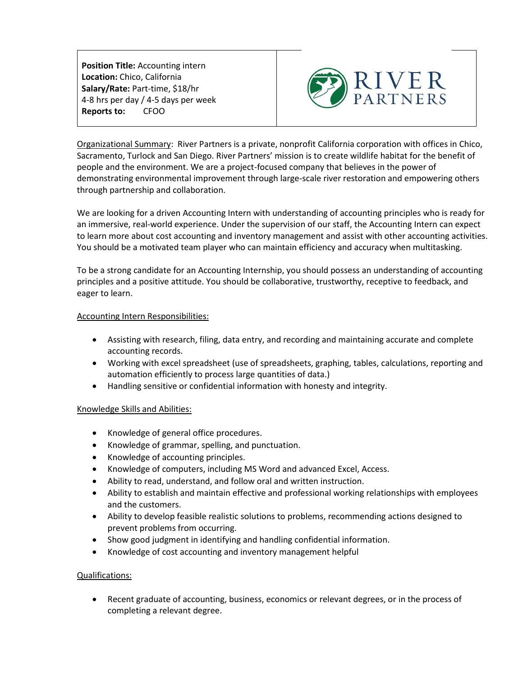**Position Title:** Accounting intern **Location:** Chico, California **Salary/Rate:** Part-time, \$18/hr 4-8 hrs per day / 4-5 days per week **Reports to:** CFOO



Organizational Summary: River Partners is a private, nonprofit California corporation with offices in Chico, Sacramento, Turlock and San Diego. River Partners' mission is to create wildlife habitat for the benefit of people and the environment. We are a project-focused company that believes in the power of demonstrating environmental improvement through large-scale river restoration and empowering others through partnership and collaboration.

We are looking for a driven Accounting Intern with understanding of accounting principles who is ready for an immersive, real-world experience. Under the supervision of our staff, the Accounting Intern can expect to learn more about cost accounting and inventory management and assist with other accounting activities. You should be a motivated team player who can maintain efficiency and accuracy when multitasking.

To be a strong candidate for an Accounting Internship, you should possess an understanding of accounting principles and a positive attitude. You should be collaborative, trustworthy, receptive to feedback, and eager to learn.

## Accounting Intern Responsibilities:

- Assisting with research, filing, data entry, and recording and maintaining accurate and complete accounting records.
- Working with excel spreadsheet (use of spreadsheets, graphing, tables, calculations, reporting and automation efficiently to process large quantities of data.)
- Handling sensitive or confidential information with honesty and integrity.

## Knowledge Skills and Abilities:

- Knowledge of general office procedures.
- Knowledge of grammar, spelling, and punctuation.
- Knowledge of accounting principles.
- Knowledge of computers, including MS Word and advanced Excel, Access.
- Ability to read, understand, and follow oral and written instruction.
- Ability to establish and maintain effective and professional working relationships with employees and the customers.
- Ability to develop feasible realistic solutions to problems, recommending actions designed to prevent problems from occurring.
- Show good judgment in identifying and handling confidential information.
- Knowledge of cost accounting and inventory management helpful

## Qualifications:

• Recent graduate of accounting, business, economics or relevant degrees, or in the process of completing a relevant degree.